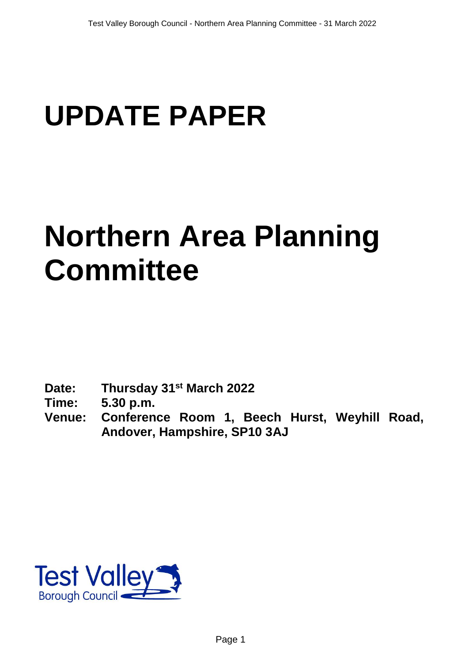# **UPDATE PAPER**

## **Northern Area Planning Committee**

**Date: Thursday 31st March 2022**

**Time: 5.30 p.m.**

**Venue: Conference Room 1, Beech Hurst, Weyhill Road, Andover, Hampshire, SP10 3AJ**

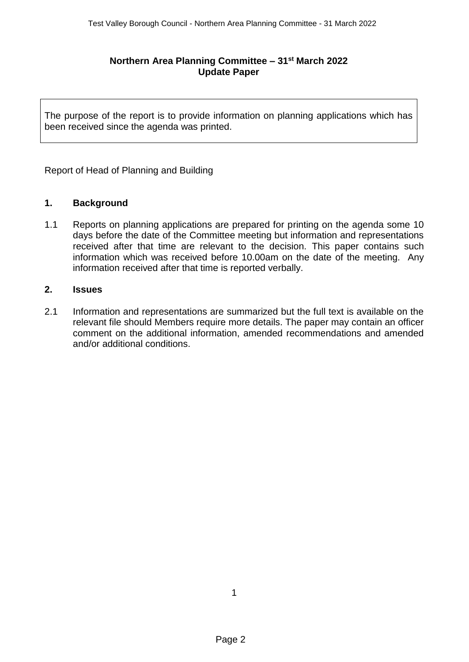### **Northern Area Planning Committee – 31 st March 2022 Update Paper**

The purpose of the report is to provide information on planning applications which has been received since the agenda was printed.

Report of Head of Planning and Building

#### **1. Background**

1.1 Reports on planning applications are prepared for printing on the agenda some 10 days before the date of the Committee meeting but information and representations received after that time are relevant to the decision. This paper contains such information which was received before 10.00am on the date of the meeting. Any information received after that time is reported verbally.

#### **2. Issues**

2.1 Information and representations are summarized but the full text is available on the relevant file should Members require more details. The paper may contain an officer comment on the additional information, amended recommendations and amended and/or additional conditions.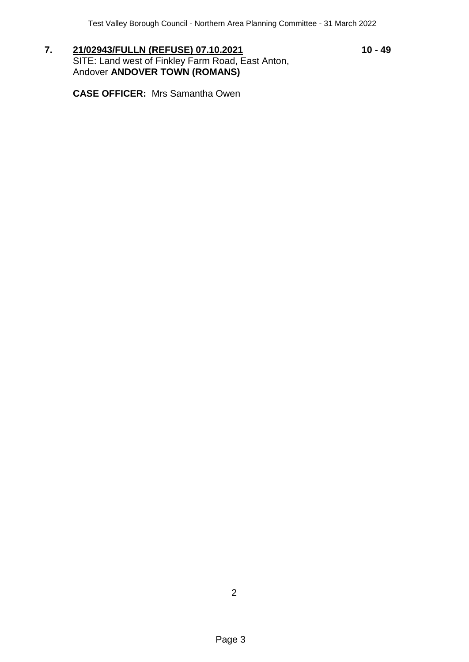7. **21/02943/FULLN (REFUSE) 07.10.2021** 10 - **49** SITE: Land west of Finkley Farm Road, East Anton, Andover **ANDOVER TOWN (ROMANS)**

**CASE OFFICER:** Mrs Samantha Owen